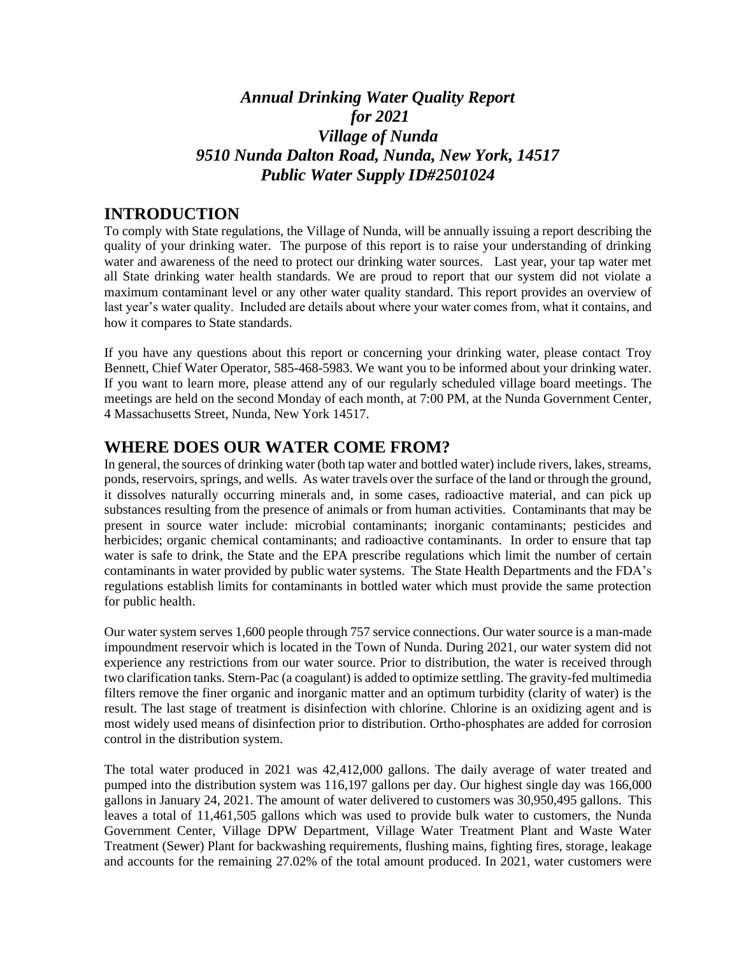# *Annual Drinking Water Quality Report for 2021 Village of Nunda 9510 Nunda Dalton Road, Nunda, New York, 14517 Public Water Supply ID#2501024*

### **INTRODUCTION**

To comply with State regulations, the Village of Nunda, will be annually issuing a report describing the quality of your drinking water. The purpose of this report is to raise your understanding of drinking water and awareness of the need to protect our drinking water sources. Last year, your tap water met all State drinking water health standards. We are proud to report that our system did not violate a maximum contaminant level or any other water quality standard. This report provides an overview of last year's water quality. Included are details about where your water comes from, what it contains, and how it compares to State standards.

If you have any questions about this report or concerning your drinking water, please contact Troy Bennett, Chief Water Operator, 585-468-5983. We want you to be informed about your drinking water. If you want to learn more, please attend any of our regularly scheduled village board meetings. The meetings are held on the second Monday of each month, at 7:00 PM, at the Nunda Government Center, 4 Massachusetts Street, Nunda, New York 14517.

## **WHERE DOES OUR WATER COME FROM?**

In general, the sources of drinking water (both tap water and bottled water) include rivers, lakes, streams, ponds, reservoirs, springs, and wells. As water travels over the surface of the land or through the ground, it dissolves naturally occurring minerals and, in some cases, radioactive material, and can pick up substances resulting from the presence of animals or from human activities. Contaminants that may be present in source water include: microbial contaminants; inorganic contaminants; pesticides and herbicides; organic chemical contaminants; and radioactive contaminants. In order to ensure that tap water is safe to drink, the State and the EPA prescribe regulations which limit the number of certain contaminants in water provided by public water systems. The State Health Departments and the FDA's regulations establish limits for contaminants in bottled water which must provide the same protection for public health.

Our water system serves 1,600 people through 757 service connections. Our water source is a man-made impoundment reservoir which is located in the Town of Nunda. During 2021, our water system did not experience any restrictions from our water source. Prior to distribution, the water is received through two clarification tanks. Stern-Pac (a coagulant) is added to optimize settling. The gravity-fed multimedia filters remove the finer organic and inorganic matter and an optimum turbidity (clarity of water) is the result. The last stage of treatment is disinfection with chlorine. Chlorine is an oxidizing agent and is most widely used means of disinfection prior to distribution. Ortho-phosphates are added for corrosion control in the distribution system.

The total water produced in 2021 was 42,412,000 gallons. The daily average of water treated and pumped into the distribution system was 116,197 gallons per day. Our highest single day was 166,000 gallons in January 24, 2021. The amount of water delivered to customers was 30,950,495 gallons. This leaves a total of 11,461,505 gallons which was used to provide bulk water to customers, the Nunda Government Center, Village DPW Department, Village Water Treatment Plant and Waste Water Treatment (Sewer) Plant for backwashing requirements, flushing mains, fighting fires, storage, leakage and accounts for the remaining 27.02% of the total amount produced. In 2021, water customers were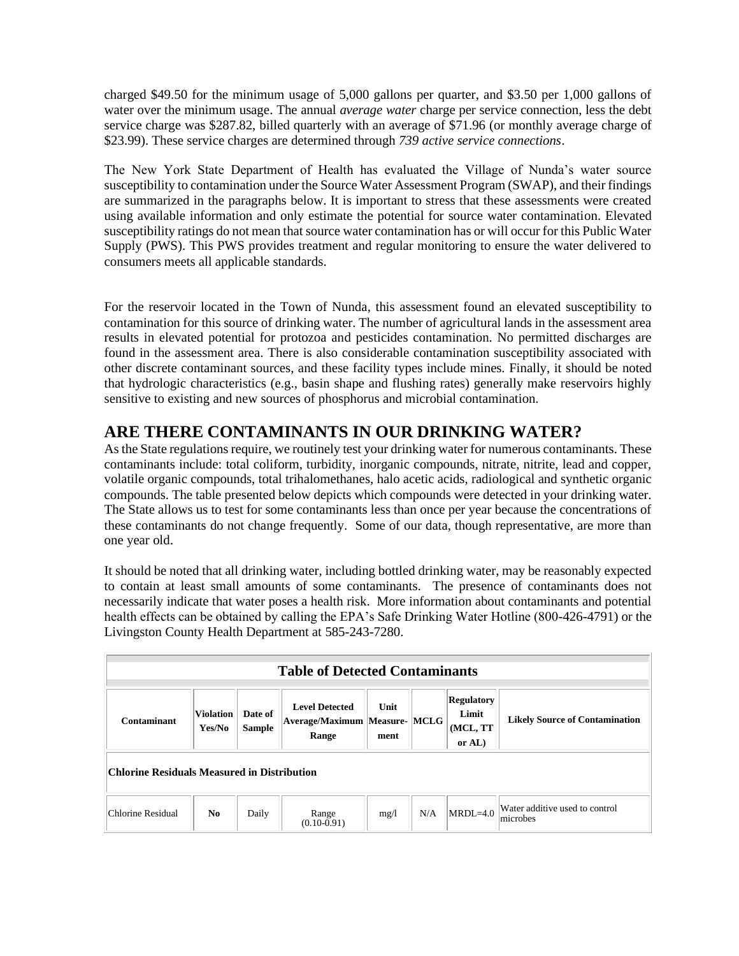charged \$49.50 for the minimum usage of 5,000 gallons per quarter, and \$3.50 per 1,000 gallons of water over the minimum usage. The annual *average water* charge per service connection, less the debt service charge was \$287.82, billed quarterly with an average of \$71.96 (or monthly average charge of \$23.99). These service charges are determined through *739 active service connections*.

The New York State Department of Health has evaluated the Village of Nunda's water source susceptibility to contamination under the Source Water Assessment Program (SWAP), and their findings are summarized in the paragraphs below. It is important to stress that these assessments were created using available information and only estimate the potential for source water contamination. Elevated susceptibility ratings do not mean that source water contamination has or will occur for this Public Water Supply (PWS). This PWS provides treatment and regular monitoring to ensure the water delivered to consumers meets all applicable standards.

For the reservoir located in the Town of Nunda, this assessment found an elevated susceptibility to contamination for this source of drinking water. The number of agricultural lands in the assessment area results in elevated potential for protozoa and pesticides contamination. No permitted discharges are found in the assessment area. There is also considerable contamination susceptibility associated with other discrete contaminant sources, and these facility types include mines. Finally, it should be noted that hydrologic characteristics (e.g., basin shape and flushing rates) generally make reservoirs highly sensitive to existing and new sources of phosphorus and microbial contamination.

# **ARE THERE CONTAMINANTS IN OUR DRINKING WATER?**

As the State regulations require, we routinely test your drinking water for numerous contaminants. These contaminants include: total coliform, turbidity, inorganic compounds, nitrate, nitrite, lead and copper, volatile organic compounds, total trihalomethanes, halo acetic acids, radiological and synthetic organic compounds. The table presented below depicts which compounds were detected in your drinking water. The State allows us to test for some contaminants less than once per year because the concentrations of these contaminants do not change frequently. Some of our data, though representative, are more than one year old.

It should be noted that all drinking water, including bottled drinking water, may be reasonably expected to contain at least small amounts of some contaminants. The presence of contaminants does not necessarily indicate that water poses a health risk. More information about contaminants and potential health effects can be obtained by calling the EPA's Safe Drinking Water Hotline (800-426-4791) or the Livingston County Health Department at 585-243-7280.

| <b>Table of Detected Contaminants</b>       |                            |                          |                                                                 |              |     |                                                   |                                            |  |
|---------------------------------------------|----------------------------|--------------------------|-----------------------------------------------------------------|--------------|-----|---------------------------------------------------|--------------------------------------------|--|
| Contaminant                                 | <b>Violation</b><br>Yes/No | Date of<br><b>Sample</b> | <b>Level Detected</b><br>Average/Maximum Measure- MCLG<br>Range | Unit<br>ment |     | <b>Regulatory</b><br>Limit<br>(MCL, TT)<br>or AL) | <b>Likely Source of Contamination</b>      |  |
| Chlorine Residuals Measured in Distribution |                            |                          |                                                                 |              |     |                                                   |                                            |  |
| Chlorine Residual                           | N <sub>0</sub>             | Daily                    | Range<br>$(0.10 - 0.91)$                                        | mg/l         | N/A | $MRDL=4.0$                                        | Water additive used to control<br>microbes |  |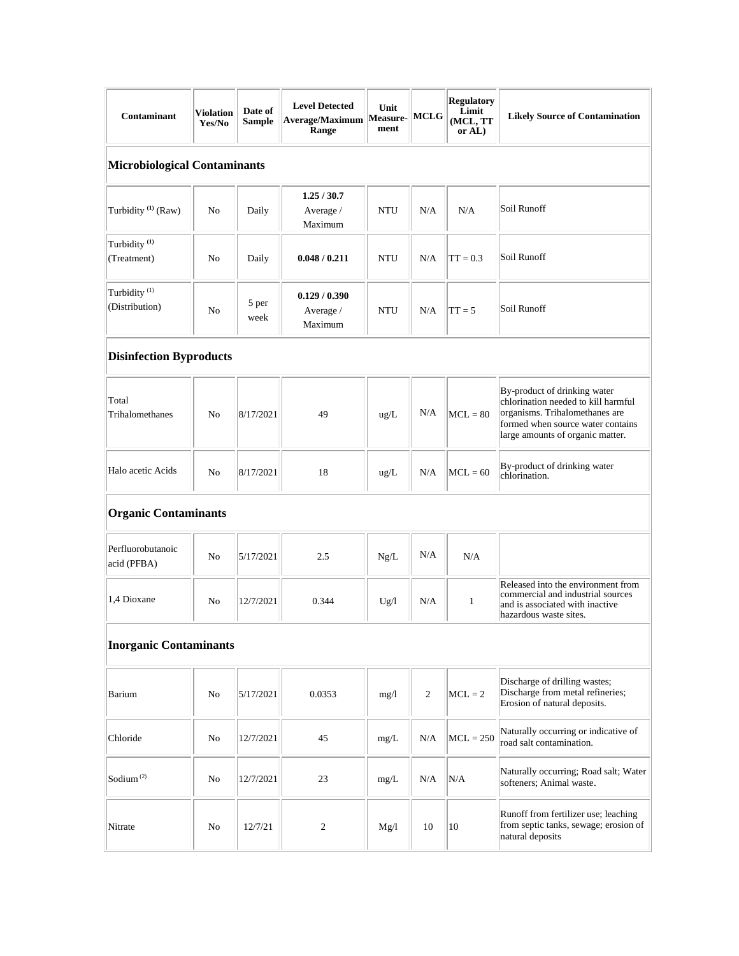| <b>Contaminant</b>                         | <b>Violation</b><br>Yes/No | Date of<br>Sample | <b>Level Detected</b><br>Average/Maximum   Measure-   MCLG<br>Range | Unit<br>ment |                | <b>Regulatory</b><br>Limit<br>(MCL, TT<br>or AL) | <b>Likely Source of Contamination</b>                                                                                                                                          |  |
|--------------------------------------------|----------------------------|-------------------|---------------------------------------------------------------------|--------------|----------------|--------------------------------------------------|--------------------------------------------------------------------------------------------------------------------------------------------------------------------------------|--|
| <b>Microbiological Contaminants</b>        |                            |                   |                                                                     |              |                |                                                  |                                                                                                                                                                                |  |
| Turbidity <sup>(1)</sup> (Raw)             | No                         | Daily             | 1.25/30.7<br>Average /<br>Maximum                                   | <b>NTU</b>   | N/A            | N/A                                              | Soil Runoff                                                                                                                                                                    |  |
| Turbidity <sup>(1)</sup><br>(Treatment)    | N <sub>o</sub>             | Daily             | 0.048 / 0.211                                                       | <b>NTU</b>   | N/A            | $TT = 0.3$                                       | Soil Runoff                                                                                                                                                                    |  |
| Turbidity <sup>(1)</sup><br>(Distribution) | No                         | 5 per<br>week     | 0.129/0.390<br>Average /<br>Maximum                                 | <b>NTU</b>   | N/A            | $TT = 5$                                         | Soil Runoff                                                                                                                                                                    |  |
| <b>Disinfection Byproducts</b>             |                            |                   |                                                                     |              |                |                                                  |                                                                                                                                                                                |  |
| Total<br>Trihalomethanes                   | N <sub>0</sub>             | 8/17/2021         | 49                                                                  | ug/L         | N/A            | $MCL = 80$                                       | By-product of drinking water<br>chlorination needed to kill harmful<br>organisms. Trihalomethanes are<br>formed when source water contains<br>large amounts of organic matter. |  |
| Halo acetic Acids                          | No                         | 8/17/2021         | 18                                                                  | ug/L         | N/A            | $MCL = 60$                                       | By-product of drinking water<br>chlorination.                                                                                                                                  |  |
| <b>Organic Contaminants</b>                |                            |                   |                                                                     |              |                |                                                  |                                                                                                                                                                                |  |
| Perfluorobutanoic<br>acid (PFBA)           | N <sub>0</sub>             | 5/17/2021         | 2.5                                                                 | Ng/L         | N/A            | N/A                                              |                                                                                                                                                                                |  |
| 1,4 Dioxane                                | No                         | 12/7/2021         | 0.344                                                               | Ug/l         | N/A            | $\mathbf{1}$                                     | Released into the environment from<br>commercial and industrial sources<br>and is associated with inactive<br>hazardous waste sites.                                           |  |
| <b>Inorganic Contaminants</b>              |                            |                   |                                                                     |              |                |                                                  |                                                                                                                                                                                |  |
| Barium                                     | No                         | 5/17/2021         | 0.0353                                                              | mg/1         | $\mathfrak{2}$ | $MCL = 2$                                        | Discharge of drilling wastes;<br>Discharge from metal refineries;<br>Erosion of natural deposits.                                                                              |  |
| Chloride                                   | No                         | 12/7/2021         | 45                                                                  | mg/L         | N/A            | $MCL = 250$                                      | Naturally occurring or indicative of<br>road salt contamination.                                                                                                               |  |
| Sodium $(2)$                               | No                         | 12/7/2021         | 23                                                                  | mg/L         | N/A            | N/A                                              | Naturally occurring; Road salt; Water<br>softeners; Animal waste.                                                                                                              |  |
| Nitrate                                    | No                         | 12/7/21           | $\overline{c}$                                                      | Mg/l         | 10             | 10                                               | Runoff from fertilizer use; leaching<br>from septic tanks, sewage; erosion of<br>natural deposits                                                                              |  |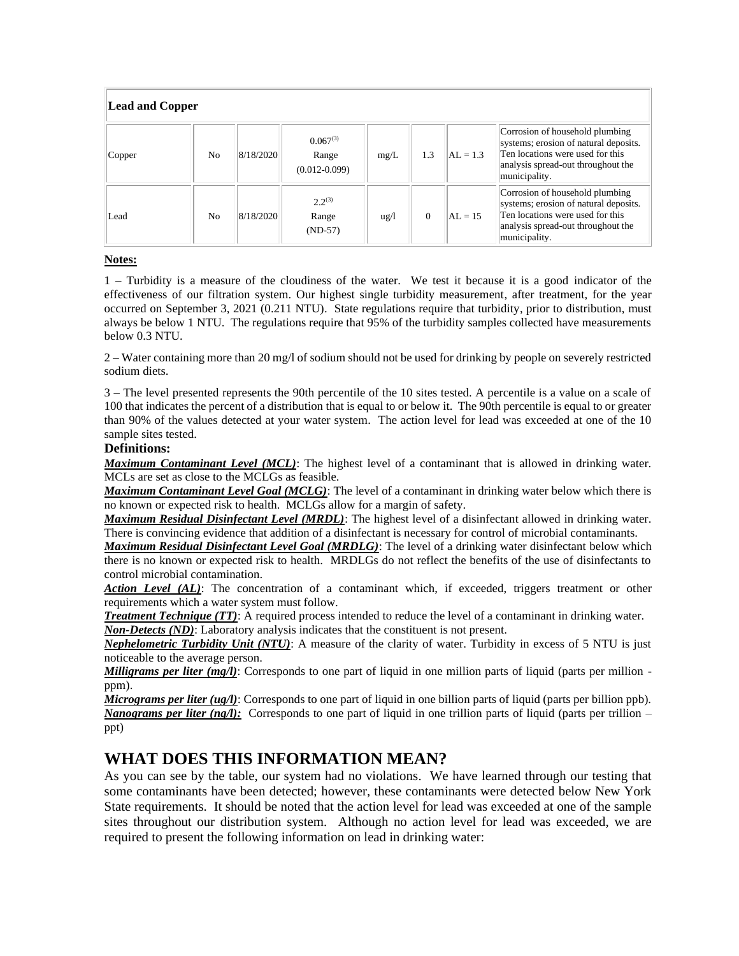| <b>Lead and Copper</b> |                |           |                                             |                 |          |            |                                                                                                                                                                     |  |
|------------------------|----------------|-----------|---------------------------------------------|-----------------|----------|------------|---------------------------------------------------------------------------------------------------------------------------------------------------------------------|--|
| Copper                 | N <sub>0</sub> | 8/18/2020 | $0.067^{(3)}$<br>Range<br>$(0.012 - 0.099)$ | mg/L            | 1.3      | $AL = 1.3$ | Corrosion of household plumbing<br>systems; erosion of natural deposits.<br>Ten locations were used for this<br>analysis spread-out throughout the<br>municipality. |  |
| Lead                   | N <sub>0</sub> | 8/18/2020 | $2.2^{(3)}$<br>Range<br>$(ND-57)$           | $\frac{u g}{l}$ | $\Omega$ | $AL = 15$  | Corrosion of household plumbing<br>systems; erosion of natural deposits.<br>Ten locations were used for this<br>analysis spread-out throughout the<br>municipality. |  |

#### **Notes:**

1 – Turbidity is a measure of the cloudiness of the water. We test it because it is a good indicator of the effectiveness of our filtration system. Our highest single turbidity measurement, after treatment, for the year occurred on September 3, 2021 (0.211 NTU). State regulations require that turbidity, prior to distribution, must always be below 1 NTU. The regulations require that 95% of the turbidity samples collected have measurements below 0.3 NTU.

2 – Water containing more than 20 mg/l of sodium should not be used for drinking by people on severely restricted sodium diets.

3 – The level presented represents the 90th percentile of the 10 sites tested. A percentile is a value on a scale of 100 that indicates the percent of a distribution that is equal to or below it. The 90th percentile is equal to or greater than 90% of the values detected at your water system. The action level for lead was exceeded at one of the 10 sample sites tested.

#### **Definitions:**

*Maximum Contaminant Level (MCL)*: The highest level of a contaminant that is allowed in drinking water. MCLs are set as close to the MCLGs as feasible.

*Maximum Contaminant Level Goal (MCLG)*: The level of a contaminant in drinking water below which there is no known or expected risk to health. MCLGs allow for a margin of safety.

*Maximum Residual Disinfectant Level (MRDL)*: The highest level of a disinfectant allowed in drinking water. There is convincing evidence that addition of a disinfectant is necessary for control of microbial contaminants.

*Maximum Residual Disinfectant Level Goal (MRDLG)*: The level of a drinking water disinfectant below which there is no known or expected risk to health. MRDLGs do not reflect the benefits of the use of disinfectants to control microbial contamination.

Action Level (AL): The concentration of a contaminant which, if exceeded, triggers treatment or other requirements which a water system must follow.

*Treatment Technique (TT)*: A required process intended to reduce the level of a contaminant in drinking water. *Non-Detects (ND)*: Laboratory analysis indicates that the constituent is not present.

*Nephelometric Turbidity Unit (NTU)*: A measure of the clarity of water. Turbidity in excess of 5 NTU is just noticeable to the average person.

*Milligrams per liter (mg/l)*: Corresponds to one part of liquid in one million parts of liquid (parts per million ppm).

*Micrograms per liter (ug/l)*: Corresponds to one part of liquid in one billion parts of liquid (parts per billion ppb). *Nanograms per liter (ng/l)*: Corresponds to one part of liquid in one trillion parts of liquid (parts per trillion – ppt)

### **WHAT DOES THIS INFORMATION MEAN?**

As you can see by the table, our system had no violations. We have learned through our testing that some contaminants have been detected; however, these contaminants were detected below New York State requirements. It should be noted that the action level for lead was exceeded at one of the sample sites throughout our distribution system. Although no action level for lead was exceeded, we are required to present the following information on lead in drinking water: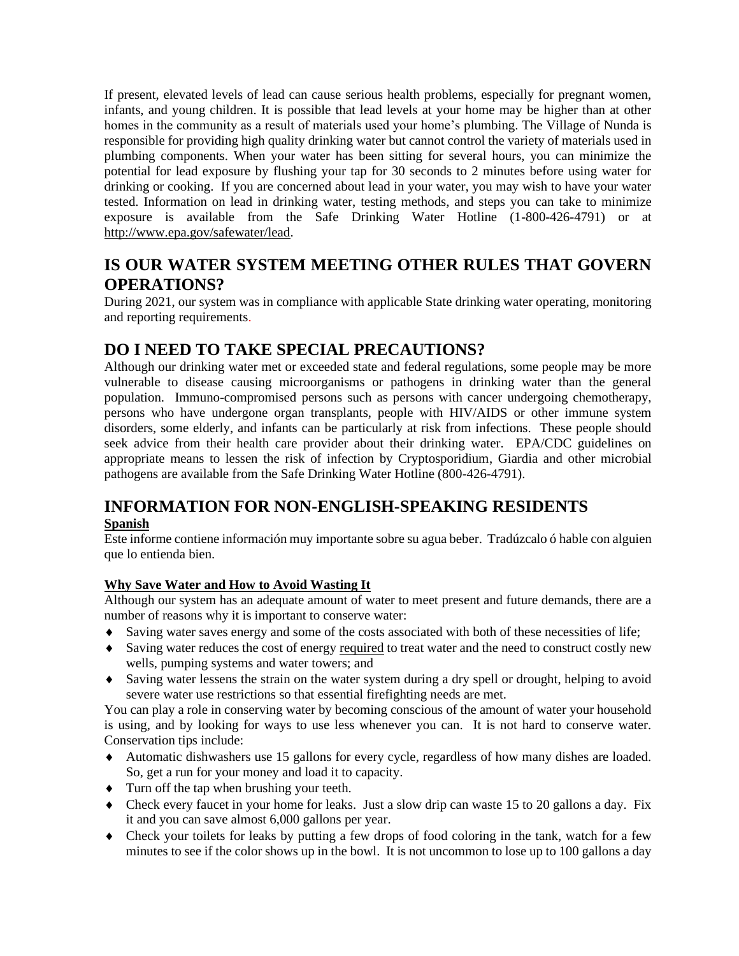If present, elevated levels of lead can cause serious health problems, especially for pregnant women, infants, and young children. It is possible that lead levels at your home may be higher than at other homes in the community as a result of materials used your home's plumbing. The Village of Nunda is responsible for providing high quality drinking water but cannot control the variety of materials used in plumbing components. When your water has been sitting for several hours, you can minimize the potential for lead exposure by flushing your tap for 30 seconds to 2 minutes before using water for drinking or cooking. If you are concerned about lead in your water, you may wish to have your water tested. Information on lead in drinking water, testing methods, and steps you can take to minimize exposure is available from the Safe Drinking Water Hotline (1-800-426-4791) or at http://www.epa.gov/safewater/lead.

# **IS OUR WATER SYSTEM MEETING OTHER RULES THAT GOVERN OPERATIONS?**

During 2021, our system was in compliance with applicable State drinking water operating, monitoring and reporting requirements.

# **DO I NEED TO TAKE SPECIAL PRECAUTIONS?**

Although our drinking water met or exceeded state and federal regulations, some people may be more vulnerable to disease causing microorganisms or pathogens in drinking water than the general population. Immuno-compromised persons such as persons with cancer undergoing chemotherapy, persons who have undergone organ transplants, people with HIV/AIDS or other immune system disorders, some elderly, and infants can be particularly at risk from infections. These people should seek advice from their health care provider about their drinking water. EPA/CDC guidelines on appropriate means to lessen the risk of infection by Cryptosporidium, Giardia and other microbial pathogens are available from the Safe Drinking Water Hotline (800-426-4791).

### **INFORMATION FOR NON-ENGLISH-SPEAKING RESIDENTS Spanish**

Este informe contiene información muy importante sobre su agua beber. Tradúzcalo ó hable con alguien que lo entienda bien.

#### **Why Save Water and How to Avoid Wasting It**

Although our system has an adequate amount of water to meet present and future demands, there are a number of reasons why it is important to conserve water:

- Saving water saves energy and some of the costs associated with both of these necessities of life;
- Saving water reduces the cost of energy required to treat water and the need to construct costly new wells, pumping systems and water towers; and
- Saving water lessens the strain on the water system during a dry spell or drought, helping to avoid severe water use restrictions so that essential firefighting needs are met.

You can play a role in conserving water by becoming conscious of the amount of water your household is using, and by looking for ways to use less whenever you can. It is not hard to conserve water. Conservation tips include:

- Automatic dishwashers use 15 gallons for every cycle, regardless of how many dishes are loaded. So, get a run for your money and load it to capacity.
- $\bullet$  Turn off the tap when brushing your teeth.
- Check every faucet in your home for leaks. Just a slow drip can waste 15 to 20 gallons a day. Fix it and you can save almost 6,000 gallons per year.
- Check your toilets for leaks by putting a few drops of food coloring in the tank, watch for a few minutes to see if the color shows up in the bowl. It is not uncommon to lose up to 100 gallons a day